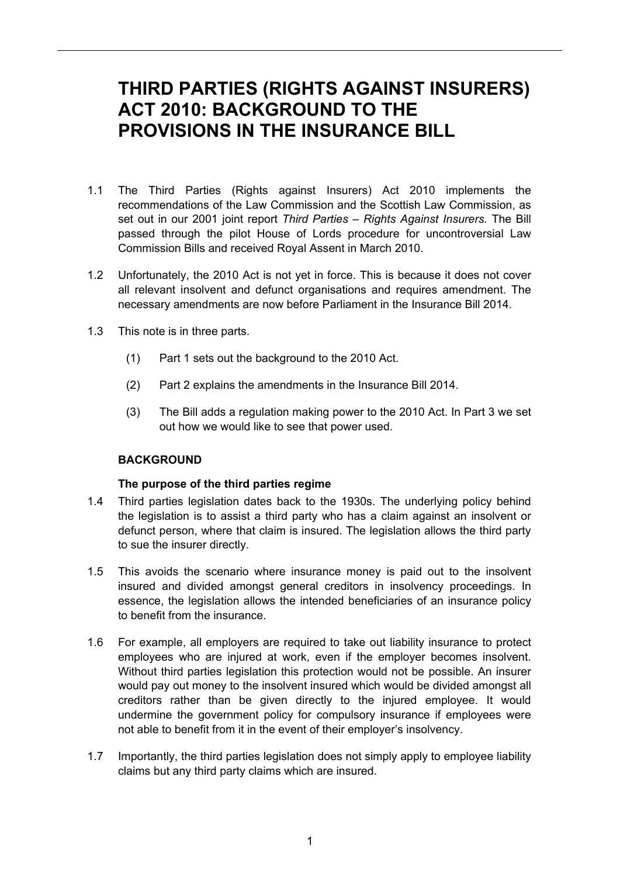# **THIRD PARTIES (RIGHTS AGAINST INSURERS) ACT 2010: BACKGROUND TO THE PROVISIONS IN THE INSURANCE BILL**

- 1.1 The Third Parties (Rights against Insurers) Act 2010 implements the recommendations of the Law Commission and the Scottish Law Commission, as set out in our 2001 joint report *Third Parties – Rights Against Insurers.* The Bill passed through the pilot House of Lords procedure for uncontroversial Law Commission Bills and received Royal Assent in March 2010.
- 1.2 Unfortunately, the 2010 Act is not yet in force. This is because it does not cover all relevant insolvent and defunct organisations and requires amendment. The necessary amendments are now before Parliament in the Insurance Bill 2014.
- 1.3 This note is in three parts.
	- (1) Part 1 sets out the background to the 2010 Act.
	- (2) Part 2 explains the amendments in the Insurance Bill 2014.
	- (3) The Bill adds a regulation making power to the 2010 Act. In Part 3 we set out how we would like to see that power used.

# **BACKGROUND**

#### **The purpose of the third parties regime**

- 1.4 Third parties legislation dates back to the 1930s. The underlying policy behind the legislation is to assist a third party who has a claim against an insolvent or defunct person, where that claim is insured. The legislation allows the third party to sue the insurer directly.
- 1.5 This avoids the scenario where insurance money is paid out to the insolvent insured and divided amongst general creditors in insolvency proceedings. In essence, the legislation allows the intended beneficiaries of an insurance policy to benefit from the insurance.
- 1.6 For example, all employers are required to take out liability insurance to protect employees who are injured at work, even if the employer becomes insolvent. Without third parties legislation this protection would not be possible. An insurer would pay out money to the insolvent insured which would be divided amongst all creditors rather than be given directly to the injured employee. It would undermine the government policy for compulsory insurance if employees were not able to benefit from it in the event of their employer's insolvency.
- 1.7 Importantly, the third parties legislation does not simply apply to employee liability claims but any third party claims which are insured.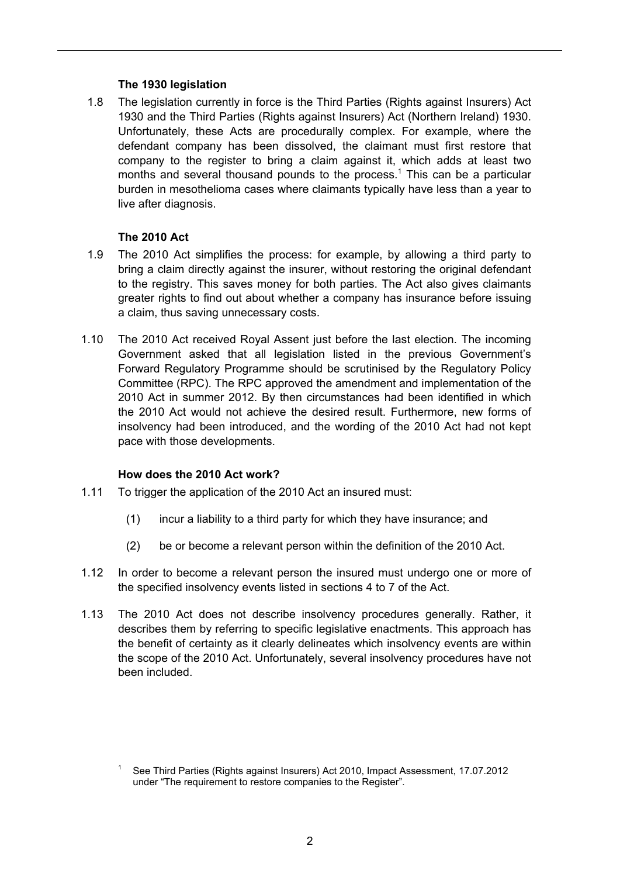### **The 1930 legislation**

1.8 The legislation currently in force is the Third Parties (Rights against Insurers) Act 1930 and the Third Parties (Rights against Insurers) Act (Northern Ireland) 1930. Unfortunately, these Acts are procedurally complex. For example, where the defendant company has been dissolved, the claimant must first restore that company to the register to bring a claim against it, which adds at least two months and several thousand pounds to the process.<sup>1</sup> This can be a particular burden in mesothelioma cases where claimants typically have less than a year to live after diagnosis.

## **The 2010 Act**

- 1.9 The 2010 Act simplifies the process: for example, by allowing a third party to bring a claim directly against the insurer, without restoring the original defendant to the registry. This saves money for both parties. The Act also gives claimants greater rights to find out about whether a company has insurance before issuing a claim, thus saving unnecessary costs.
- 1.10 The 2010 Act received Royal Assent just before the last election. The incoming Government asked that all legislation listed in the previous Government's Forward Regulatory Programme should be scrutinised by the Regulatory Policy Committee (RPC). The RPC approved the amendment and implementation of the 2010 Act in summer 2012. By then circumstances had been identified in which the 2010 Act would not achieve the desired result. Furthermore, new forms of insolvency had been introduced, and the wording of the 2010 Act had not kept pace with those developments.

#### **How does the 2010 Act work?**

- 1.11 To trigger the application of the 2010 Act an insured must:
	- (1) incur a liability to a third party for which they have insurance; and
	- (2) be or become a relevant person within the definition of the 2010 Act.
- 1.12 In order to become a relevant person the insured must undergo one or more of the specified insolvency events listed in sections 4 to 7 of the Act.
- 1.13 The 2010 Act does not describe insolvency procedures generally. Rather, it describes them by referring to specific legislative enactments. This approach has the benefit of certainty as it clearly delineates which insolvency events are within the scope of the 2010 Act. Unfortunately, several insolvency procedures have not been included.

<sup>1</sup> See Third Parties (Rights against Insurers) Act 2010, Impact Assessment, 17.07.2012 under "The requirement to restore companies to the Register".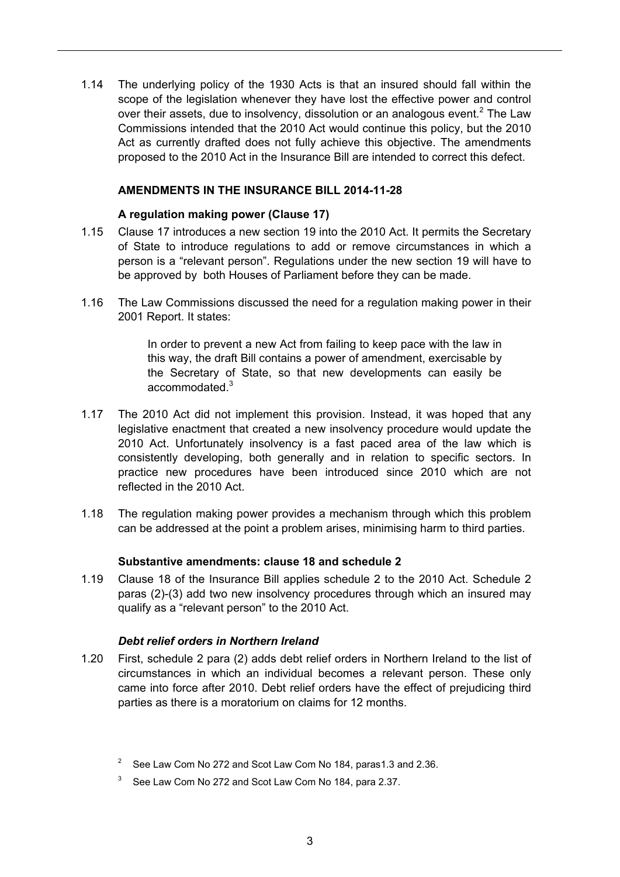1.14 The underlying policy of the 1930 Acts is that an insured should fall within the scope of the legislation whenever they have lost the effective power and control over their assets, due to insolvency, dissolution or an analogous event.<sup>2</sup> The Law Commissions intended that the 2010 Act would continue this policy, but the 2010 Act as currently drafted does not fully achieve this objective. The amendments proposed to the 2010 Act in the Insurance Bill are intended to correct this defect.

#### **AMENDMENTS IN THE INSURANCE BILL 2014-11-28**

#### **A regulation making power (Clause 17)**

- 1.15 Clause 17 introduces a new section 19 into the 2010 Act. It permits the Secretary of State to introduce regulations to add or remove circumstances in which a person is a "relevant person". Regulations under the new section 19 will have to be approved by both Houses of Parliament before they can be made.
- 1.16 The Law Commissions discussed the need for a regulation making power in their 2001 Report. It states:

In order to prevent a new Act from failing to keep pace with the law in this way, the draft Bill contains a power of amendment, exercisable by the Secretary of State, so that new developments can easily be accommodated<sup>3</sup>

- 1.17 The 2010 Act did not implement this provision. Instead, it was hoped that any legislative enactment that created a new insolvency procedure would update the 2010 Act. Unfortunately insolvency is a fast paced area of the law which is consistently developing, both generally and in relation to specific sectors. In practice new procedures have been introduced since 2010 which are not reflected in the 2010 Act.
- 1.18 The regulation making power provides a mechanism through which this problem can be addressed at the point a problem arises, minimising harm to third parties.

#### **Substantive amendments: clause 18 and schedule 2**

1.19 Clause 18 of the Insurance Bill applies schedule 2 to the 2010 Act. Schedule 2 paras (2)-(3) add two new insolvency procedures through which an insured may qualify as a "relevant person" to the 2010 Act.

#### *Debt relief orders in Northern Ireland*

1.20 First, schedule 2 para (2) adds debt relief orders in Northern Ireland to the list of circumstances in which an individual becomes a relevant person. These only came into force after 2010. Debt relief orders have the effect of prejudicing third parties as there is a moratorium on claims for 12 months.

<sup>&</sup>lt;sup>2</sup> See Law Com No 272 and Scot Law Com No 184, paras 1.3 and 2.36.

<sup>3</sup> See Law Com No 272 and Scot Law Com No 184, para 2.37.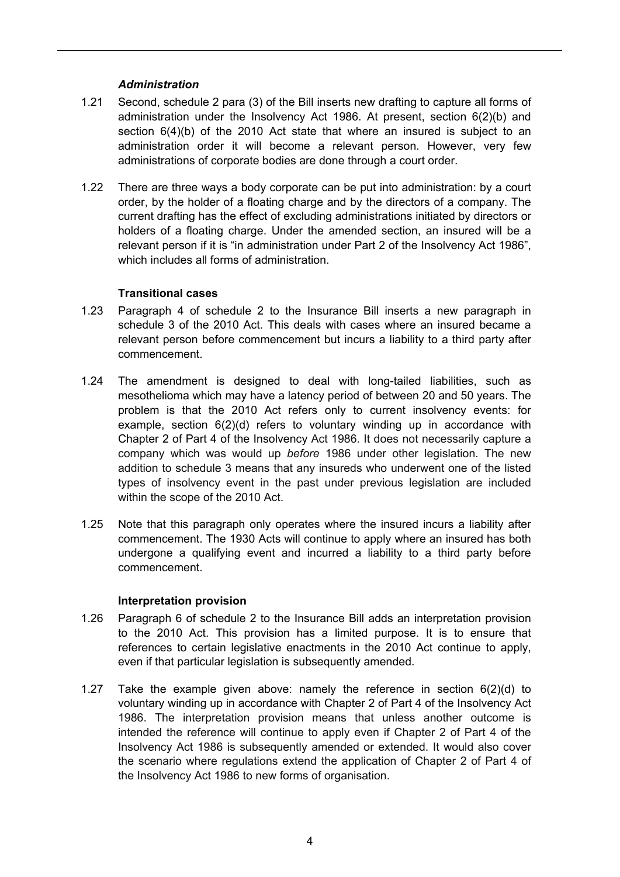### *Administration*

- 1.21 Second, schedule 2 para (3) of the Bill inserts new drafting to capture all forms of administration under the Insolvency Act 1986. At present, section 6(2)(b) and section 6(4)(b) of the 2010 Act state that where an insured is subject to an administration order it will become a relevant person. However, very few administrations of corporate bodies are done through a court order.
- 1.22 There are three ways a body corporate can be put into administration: by a court order, by the holder of a floating charge and by the directors of a company. The current drafting has the effect of excluding administrations initiated by directors or holders of a floating charge. Under the amended section, an insured will be a relevant person if it is "in administration under Part 2 of the Insolvency Act 1986", which includes all forms of administration.

## **Transitional cases**

- 1.23 Paragraph 4 of schedule 2 to the Insurance Bill inserts a new paragraph in schedule 3 of the 2010 Act. This deals with cases where an insured became a relevant person before commencement but incurs a liability to a third party after commencement.
- 1.24 The amendment is designed to deal with long-tailed liabilities, such as mesothelioma which may have a latency period of between 20 and 50 years. The problem is that the 2010 Act refers only to current insolvency events: for example, section 6(2)(d) refers to voluntary winding up in accordance with Chapter 2 of Part 4 of the Insolvency Act 1986. It does not necessarily capture a company which was would up *before* 1986 under other legislation. The new addition to schedule 3 means that any insureds who underwent one of the listed types of insolvency event in the past under previous legislation are included within the scope of the 2010 Act.
- 1.25 Note that this paragraph only operates where the insured incurs a liability after commencement. The 1930 Acts will continue to apply where an insured has both undergone a qualifying event and incurred a liability to a third party before commencement.

#### **Interpretation provision**

- 1.26 Paragraph 6 of schedule 2 to the Insurance Bill adds an interpretation provision to the 2010 Act. This provision has a limited purpose. It is to ensure that references to certain legislative enactments in the 2010 Act continue to apply, even if that particular legislation is subsequently amended.
- 1.27 Take the example given above: namely the reference in section 6(2)(d) to voluntary winding up in accordance with Chapter 2 of Part 4 of the Insolvency Act 1986. The interpretation provision means that unless another outcome is intended the reference will continue to apply even if Chapter 2 of Part 4 of the Insolvency Act 1986 is subsequently amended or extended. It would also cover the scenario where regulations extend the application of Chapter 2 of Part 4 of the Insolvency Act 1986 to new forms of organisation.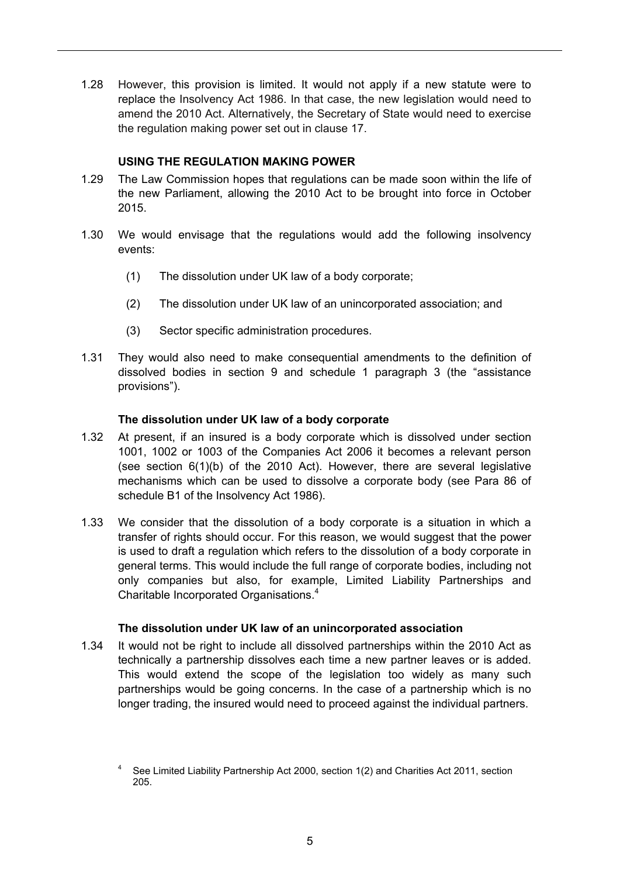1.28 However, this provision is limited. It would not apply if a new statute were to replace the Insolvency Act 1986. In that case, the new legislation would need to amend the 2010 Act. Alternatively, the Secretary of State would need to exercise the regulation making power set out in clause 17.

### **USING THE REGULATION MAKING POWER**

- 1.29 The Law Commission hopes that regulations can be made soon within the life of the new Parliament, allowing the 2010 Act to be brought into force in October 2015.
- 1.30 We would envisage that the regulations would add the following insolvency events:
	- (1) The dissolution under UK law of a body corporate;
	- (2) The dissolution under UK law of an unincorporated association; and
	- (3) Sector specific administration procedures.
- 1.31 They would also need to make consequential amendments to the definition of dissolved bodies in section 9 and schedule 1 paragraph 3 (the "assistance provisions").

#### **The dissolution under UK law of a body corporate**

- 1.32 At present, if an insured is a body corporate which is dissolved under section 1001, 1002 or 1003 of the Companies Act 2006 it becomes a relevant person (see section 6(1)(b) of the 2010 Act). However, there are several legislative mechanisms which can be used to dissolve a corporate body (see Para 86 of schedule B1 of the Insolvency Act 1986).
- 1.33 We consider that the dissolution of a body corporate is a situation in which a transfer of rights should occur. For this reason, we would suggest that the power is used to draft a regulation which refers to the dissolution of a body corporate in general terms. This would include the full range of corporate bodies, including not only companies but also, for example, Limited Liability Partnerships and Charitable Incorporated Organisations.<sup>4</sup>

#### **The dissolution under UK law of an unincorporated association**

1.34 It would not be right to include all dissolved partnerships within the 2010 Act as technically a partnership dissolves each time a new partner leaves or is added. This would extend the scope of the legislation too widely as many such partnerships would be going concerns. In the case of a partnership which is no longer trading, the insured would need to proceed against the individual partners.

<sup>4</sup> See Limited Liability Partnership Act 2000, section 1(2) and Charities Act 2011, section 205.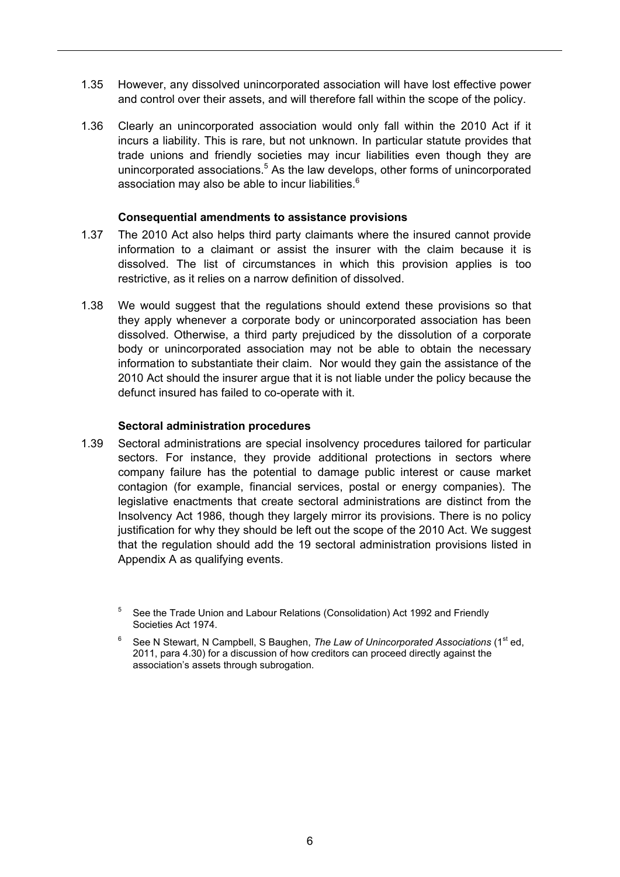- 1.35 However, any dissolved unincorporated association will have lost effective power and control over their assets, and will therefore fall within the scope of the policy.
- 1.36 Clearly an unincorporated association would only fall within the 2010 Act if it incurs a liability. This is rare, but not unknown. In particular statute provides that trade unions and friendly societies may incur liabilities even though they are unincorporated associations.<sup>5</sup> As the law develops, other forms of unincorporated association may also be able to incur liabilities. $^6$

#### **Consequential amendments to assistance provisions**

- 1.37 The 2010 Act also helps third party claimants where the insured cannot provide information to a claimant or assist the insurer with the claim because it is dissolved. The list of circumstances in which this provision applies is too restrictive, as it relies on a narrow definition of dissolved.
- 1.38 We would suggest that the regulations should extend these provisions so that they apply whenever a corporate body or unincorporated association has been dissolved. Otherwise, a third party prejudiced by the dissolution of a corporate body or unincorporated association may not be able to obtain the necessary information to substantiate their claim. Nor would they gain the assistance of the 2010 Act should the insurer argue that it is not liable under the policy because the defunct insured has failed to co-operate with it.

#### **Sectoral administration procedures**

1.39 Sectoral administrations are special insolvency procedures tailored for particular sectors. For instance, they provide additional protections in sectors where company failure has the potential to damage public interest or cause market contagion (for example, financial services, postal or energy companies). The legislative enactments that create sectoral administrations are distinct from the Insolvency Act 1986, though they largely mirror its provisions. There is no policy justification for why they should be left out the scope of the 2010 Act. We suggest that the regulation should add the 19 sectoral administration provisions listed in Appendix A as qualifying events.

<sup>5</sup> See the Trade Union and Labour Relations (Consolidation) Act 1992 and Friendly Societies Act 1974.

<sup>6</sup> See N Stewart, N Campbell, S Baughen, *The Law of Unincorporated Associations* (1<sup>st</sup> ed, 2011, para 4.30) for a discussion of how creditors can proceed directly against the association's assets through subrogation.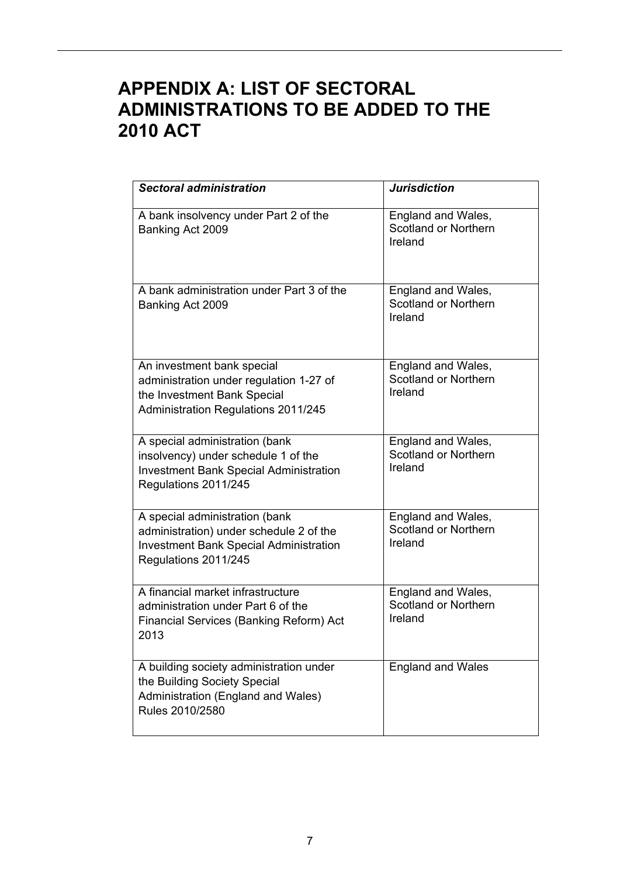# **APPENDIX A: LIST OF SECTORAL ADMINISTRATIONS TO BE ADDED TO THE 2010 ACT**

| <b>Sectoral administration</b>                                                                                                                     | <b>Jurisdiction</b>                                   |
|----------------------------------------------------------------------------------------------------------------------------------------------------|-------------------------------------------------------|
| A bank insolvency under Part 2 of the<br>Banking Act 2009                                                                                          | England and Wales,<br>Scotland or Northern<br>Ireland |
| A bank administration under Part 3 of the<br>Banking Act 2009                                                                                      | England and Wales,<br>Scotland or Northern<br>Ireland |
| An investment bank special<br>administration under regulation 1-27 of<br>the Investment Bank Special<br>Administration Regulations 2011/245        | England and Wales,<br>Scotland or Northern<br>Ireland |
| A special administration (bank<br>insolvency) under schedule 1 of the<br><b>Investment Bank Special Administration</b><br>Regulations 2011/245     | England and Wales,<br>Scotland or Northern<br>Ireland |
| A special administration (bank<br>administration) under schedule 2 of the<br><b>Investment Bank Special Administration</b><br>Regulations 2011/245 | England and Wales,<br>Scotland or Northern<br>Ireland |
| A financial market infrastructure<br>administration under Part 6 of the<br>Financial Services (Banking Reform) Act<br>2013                         | England and Wales,<br>Scotland or Northern<br>Ireland |
| A building society administration under<br>the Building Society Special<br>Administration (England and Wales)<br>Rules 2010/2580                   | <b>England and Wales</b>                              |